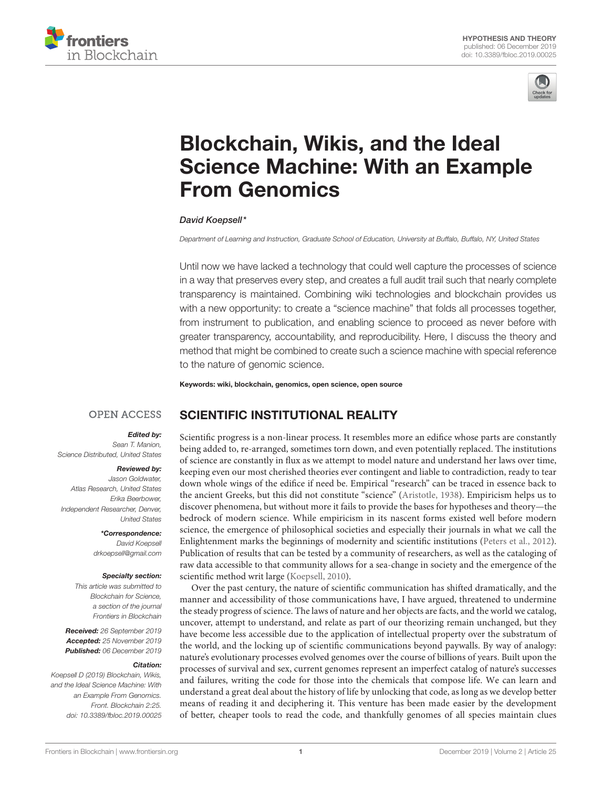



# Blockchain, Wikis, and the Ideal [Science Machine: With an Example](https://www.frontiersin.org/articles/10.3389/fbloc.2019.00025/full) From Genomics

#### [David Koepsell\\*](http://loop.frontiersin.org/people/759956/overview)

*Department of Learning and Instruction, Graduate School of Education, University at Buffalo, Buffalo, NY, United States*

Until now we have lacked a technology that could well capture the processes of science in a way that preserves every step, and creates a full audit trail such that nearly complete transparency is maintained. Combining wiki technologies and blockchain provides us with a new opportunity: to create a "science machine" that folds all processes together, from instrument to publication, and enabling science to proceed as never before with greater transparency, accountability, and reproducibility. Here, I discuss the theory and method that might be combined to create such a science machine with special reference to the nature of genomic science.

Keywords: wiki, blockchain, genomics, open science, open source

#### **OPEN ACCESS** SCIENTIFIC INSTITUTIONAL REALITY

#### Edited by:

*Sean T. Manion, Science Distributed, United States*

#### Reviewed by:

*Jason Goldwater, Atlas Research, United States Erika Beerbower, Independent Researcher, Denver, United States*

> \*Correspondence: *David Koepsell [drkoepsell@gmail.com](mailto:drkoepsell@gmail.com)*

#### Specialty section:

*This article was submitted to Blockchain for Science, a section of the journal Frontiers in Blockchain*

Received: *26 September 2019* Accepted: *25 November 2019* Published: *06 December 2019*

#### Citation:

*Koepsell D (2019) Blockchain, Wikis, and the Ideal Science Machine: With an Example From Genomics. Front. Blockchain 2:25. doi: [10.3389/fbloc.2019.00025](https://doi.org/10.3389/fbloc.2019.00025)*

Scientific progress is a non-linear process. It resembles more an edifice whose parts are constantly being added to, re-arranged, sometimes torn down, and even potentially replaced. The institutions of science are constantly in flux as we attempt to model nature and understand her laws over time, keeping even our most cherished theories ever contingent and liable to contradiction, ready to tear down whole wings of the edifice if need be. Empirical "research" can be traced in essence back to the ancient Greeks, but this did not constitute "science" [\(Aristotle, 1938\)](#page-5-0). Empiricism helps us to discover phenomena, but without more it fails to provide the bases for hypotheses and theory—the bedrock of modern science. While empiricism in its nascent forms existed well before modern science, the emergence of philosophical societies and especially their journals in what we call the Enlightenment marks the beginnings of modernity and scientific institutions [\(Peters et al., 2012\)](#page-5-1). Publication of results that can be tested by a community of researchers, as well as the cataloging of raw data accessible to that community allows for a sea-change in society and the emergence of the scientific method writ large [\(Koepsell, 2010\)](#page-5-2).

Over the past century, the nature of scientific communication has shifted dramatically, and the manner and accessibility of those communications have, I have argued, threatened to undermine the steady progress of science. The laws of nature and her objects are facts, and the world we catalog, uncover, attempt to understand, and relate as part of our theorizing remain unchanged, but they have become less accessible due to the application of intellectual property over the substratum of the world, and the locking up of scientific communications beyond paywalls. By way of analogy: nature's evolutionary processes evolved genomes over the course of billions of years. Built upon the processes of survival and sex, current genomes represent an imperfect catalog of nature's successes and failures, writing the code for those into the chemicals that compose life. We can learn and understand a great deal about the history of life by unlocking that code, as long as we develop better means of reading it and deciphering it. This venture has been made easier by the development of better, cheaper tools to read the code, and thankfully genomes of all species maintain clues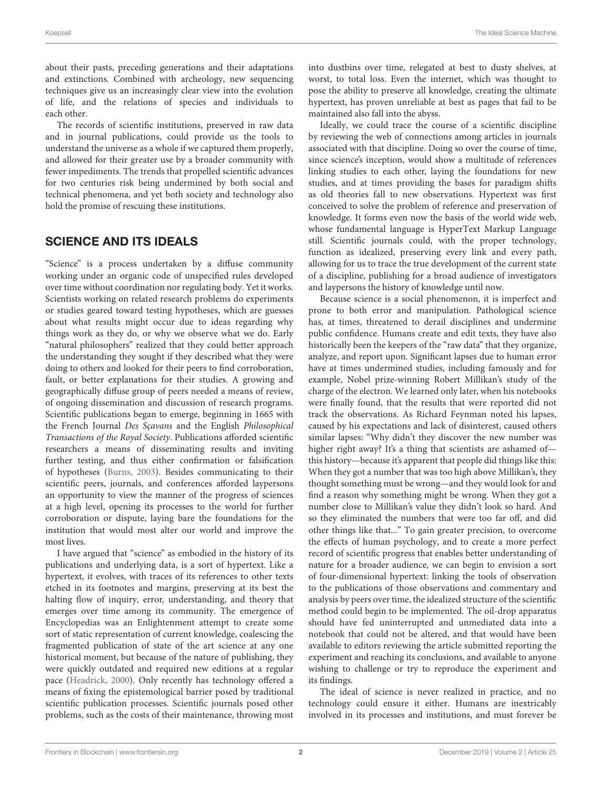about their pasts, preceding generations and their adaptations and extinctions. Combined with archeology, new sequencing techniques give us an increasingly clear view into the evolution of life, and the relations of species and individuals to each other.

The records of scientific institutions, preserved in raw data and in journal publications, could provide us the tools to understand the universe as a whole if we captured them properly, and allowed for their greater use by a broader community with fewer impediments. The trends that propelled scientific advances for two centuries risk being undermined by both social and technical phenomena, and yet both society and technology also hold the promise of rescuing these institutions.

### SCIENCE AND ITS IDEALS

"Science" is a process undertaken by a diffuse community working under an organic code of unspecified rules developed over time without coordination nor regulating body. Yet it works. Scientists working on related research problems do experiments or studies geared toward testing hypotheses, which are guesses about what results might occur due to ideas regarding why things work as they do, or why we observe what we do. Early "natural philosophers" realized that they could better approach the understanding they sought if they described what they were doing to others and looked for their peers to find corroboration, fault, or better explanations for their studies. A growing and geographically diffuse group of peers needed a means of review, of ongoing dissemination and discussion of research programs. Scientific publications began to emerge, beginning in 1665 with the French Journal Des Sçavans and the English Philosophical Transactions of the Royal Society. Publications afforded scientific researchers a means of disseminating results and inviting further testing, and thus either confirmation or falsification of hypotheses [\(Burns, 2003\)](#page-5-3). Besides communicating to their scientific peers, journals, and conferences afforded laypersons an opportunity to view the manner of the progress of sciences at a high level, opening its processes to the world for further corroboration or dispute, laying bare the foundations for the institution that would most alter our world and improve the most lives.

I have argued that "science" as embodied in the history of its publications and underlying data, is a sort of hypertext. Like a hypertext, it evolves, with traces of its references to other texts etched in its footnotes and margins, preserving at its best the halting flow of inquiry, error, understanding, and theory that emerges over time among its community. The emergence of Encyclopedias was an Enlightenment attempt to create some sort of static representation of current knowledge, coalescing the fragmented publication of state of the art science at any one historical moment, but because of the nature of publishing, they were quickly outdated and required new editions at a regular pace [\(Headrick, 2000\)](#page-5-4). Only recently has technology offered a means of fixing the epistemological barrier posed by traditional scientific publication processes. Scientific journals posed other problems, such as the costs of their maintenance, throwing most into dustbins over time, relegated at best to dusty shelves, at worst, to total loss. Even the internet, which was thought to pose the ability to preserve all knowledge, creating the ultimate hypertext, has proven unreliable at best as pages that fail to be maintained also fall into the abyss.

Ideally, we could trace the course of a scientific discipline by reviewing the web of connections among articles in journals associated with that discipline. Doing so over the course of time, since science's inception, would show a multitude of references linking studies to each other, laying the foundations for new studies, and at times providing the bases for paradigm shifts as old theories fall to new observations. Hypertext was first conceived to solve the problem of reference and preservation of knowledge. It forms even now the basis of the world wide web, whose fundamental language is HyperText Markup Language still. Scientific journals could, with the proper technology, function as idealized, preserving every link and every path, allowing for us to trace the true development of the current state of a discipline, publishing for a broad audience of investigators and laypersons the history of knowledge until now.

Because science is a social phenomenon, it is imperfect and prone to both error and manipulation. Pathological science has, at times, threatened to derail disciplines and undermine public confidence. Humans create and edit texts, they have also historically been the keepers of the "raw data" that they organize, analyze, and report upon. Significant lapses due to human error have at times undermined studies, including famously and for example, Nobel prize-winning Robert Millikan's study of the charge of the electron. We learned only later, when his notebooks were finally found, that the results that were reported did not track the observations. As Richard Feynman noted his lapses, caused by his expectations and lack of disinterest, caused others similar lapses: "Why didn't they discover the new number was higher right away? It's a thing that scientists are ashamed ofthis history—because it's apparent that people did things like this: When they got a number that was too high above Millikan's, they thought something must be wrong—and they would look for and find a reason why something might be wrong. When they got a number close to Millikan's value they didn't look so hard. And so they eliminated the numbers that were too far off, and did other things like that..." To gain greater precision, to overcome the effects of human psychology, and to create a more perfect record of scientific progress that enables better understanding of nature for a broader audience, we can begin to envision a sort of four-dimensional hypertext: linking the tools of observation to the publications of those observations and commentary and analysis by peers over time, the idealized structure of the scientific method could begin to be implemented. The oil-drop apparatus should have fed uninterrupted and unmediated data into a notebook that could not be altered, and that would have been available to editors reviewing the article submitted reporting the experiment and reaching its conclusions, and available to anyone wishing to challenge or try to reproduce the experiment and its findings.

The ideal of science is never realized in practice, and no technology could ensure it either. Humans are inextricably involved in its processes and institutions, and must forever be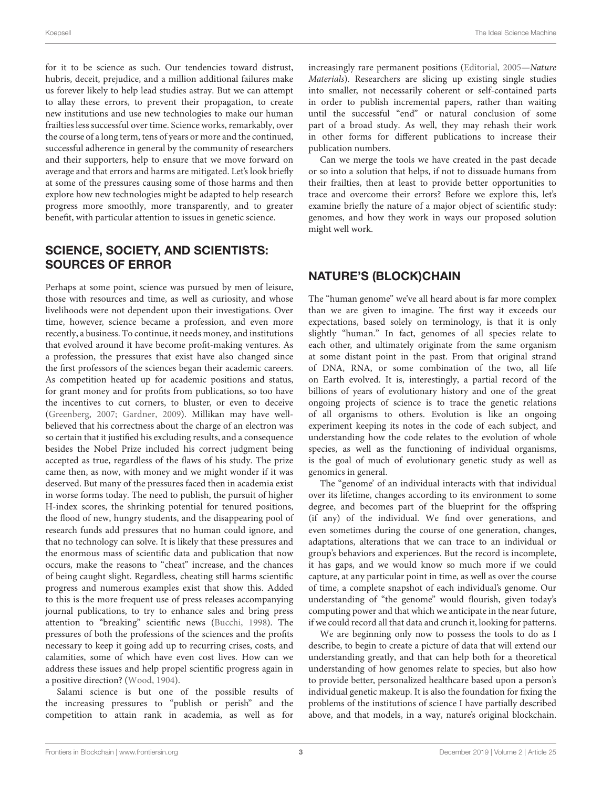for it to be science as such. Our tendencies toward distrust, hubris, deceit, prejudice, and a million additional failures make us forever likely to help lead studies astray. But we can attempt to allay these errors, to prevent their propagation, to create new institutions and use new technologies to make our human frailties less successful over time. Science works, remarkably, over the course of a long term, tens of years or more and the continued, successful adherence in general by the community of researchers and their supporters, help to ensure that we move forward on average and that errors and harms are mitigated. Let's look briefly at some of the pressures causing some of those harms and then explore how new technologies might be adapted to help research progress more smoothly, more transparently, and to greater benefit, with particular attention to issues in genetic science.

# SCIENCE, SOCIETY, AND SCIENTISTS: SOURCES OF ERROR

Perhaps at some point, science was pursued by men of leisure, those with resources and time, as well as curiosity, and whose livelihoods were not dependent upon their investigations. Over time, however, science became a profession, and even more recently, a business. To continue, it needs money, and institutions that evolved around it have become profit-making ventures. As a profession, the pressures that exist have also changed since the first professors of the sciences began their academic careers. As competition heated up for academic positions and status, for grant money and for profits from publications, so too have the incentives to cut corners, to bluster, or even to deceive [\(Greenberg, 2007;](#page-5-5) [Gardner, 2009\)](#page-5-6). Millikan may have wellbelieved that his correctness about the charge of an electron was so certain that it justified his excluding results, and a consequence besides the Nobel Prize included his correct judgment being accepted as true, regardless of the flaws of his study. The prize came then, as now, with money and we might wonder if it was deserved. But many of the pressures faced then in academia exist in worse forms today. The need to publish, the pursuit of higher H-index scores, the shrinking potential for tenured positions, the flood of new, hungry students, and the disappearing pool of research funds add pressures that no human could ignore, and that no technology can solve. It is likely that these pressures and the enormous mass of scientific data and publication that now occurs, make the reasons to "cheat" increase, and the chances of being caught slight. Regardless, cheating still harms scientific progress and numerous examples exist that show this. Added to this is the more frequent use of press releases accompanying journal publications, to try to enhance sales and bring press attention to "breaking" scientific news [\(Bucchi, 1998\)](#page-5-7). The pressures of both the professions of the sciences and the profits necessary to keep it going add up to recurring crises, costs, and calamities, some of which have even cost lives. How can we address these issues and help propel scientific progress again in a positive direction? [\(Wood, 1904\)](#page-5-8).

Salami science is but one of the possible results of the increasing pressures to "publish or perish" and the competition to attain rank in academia, as well as for increasingly rare permanent positions [\(Editorial, 2005—](#page-5-9)Nature Materials). Researchers are slicing up existing single studies into smaller, not necessarily coherent or self-contained parts in order to publish incremental papers, rather than waiting until the successful "end" or natural conclusion of some part of a broad study. As well, they may rehash their work in other forms for different publications to increase their publication numbers.

Can we merge the tools we have created in the past decade or so into a solution that helps, if not to dissuade humans from their frailties, then at least to provide better opportunities to trace and overcome their errors? Before we explore this, let's examine briefly the nature of a major object of scientific study: genomes, and how they work in ways our proposed solution might well work.

# NATURE'S (BLOCK)CHAIN

The "human genome" we've all heard about is far more complex than we are given to imagine. The first way it exceeds our expectations, based solely on terminology, is that it is only slightly "human." In fact, genomes of all species relate to each other, and ultimately originate from the same organism at some distant point in the past. From that original strand of DNA, RNA, or some combination of the two, all life on Earth evolved. It is, interestingly, a partial record of the billions of years of evolutionary history and one of the great ongoing projects of science is to trace the genetic relations of all organisms to others. Evolution is like an ongoing experiment keeping its notes in the code of each subject, and understanding how the code relates to the evolution of whole species, as well as the functioning of individual organisms, is the goal of much of evolutionary genetic study as well as genomics in general.

The "genome' of an individual interacts with that individual over its lifetime, changes according to its environment to some degree, and becomes part of the blueprint for the offspring (if any) of the individual. We find over generations, and even sometimes during the course of one generation, changes, adaptations, alterations that we can trace to an individual or group's behaviors and experiences. But the record is incomplete, it has gaps, and we would know so much more if we could capture, at any particular point in time, as well as over the course of time, a complete snapshot of each individual's genome. Our understanding of "the genome" would flourish, given today's computing power and that which we anticipate in the near future, if we could record all that data and crunch it, looking for patterns.

We are beginning only now to possess the tools to do as I describe, to begin to create a picture of data that will extend our understanding greatly, and that can help both for a theoretical understanding of how genomes relate to species, but also how to provide better, personalized healthcare based upon a person's individual genetic makeup. It is also the foundation for fixing the problems of the institutions of science I have partially described above, and that models, in a way, nature's original blockchain.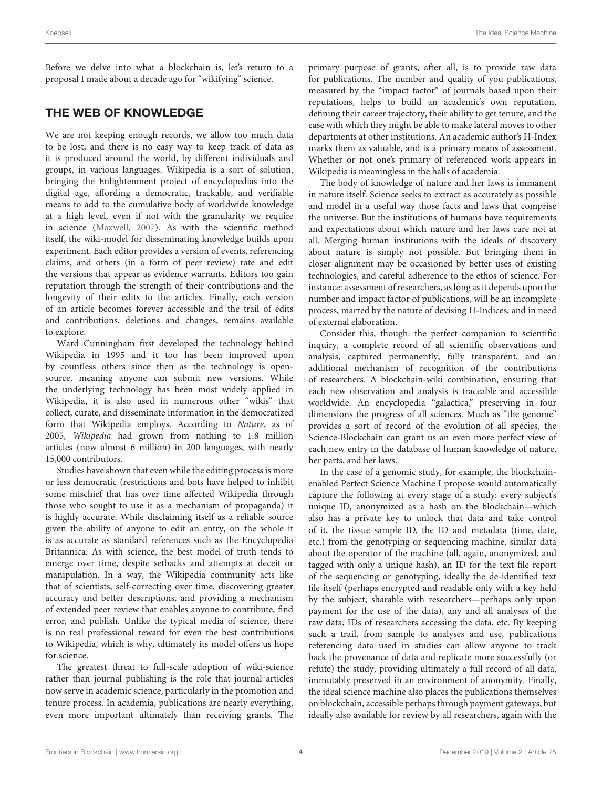Before we delve into what a blockchain is, let's return to a proposal I made about a decade ago for "wikifying" science.

# THE WEB OF KNOWLEDGE

We are not keeping enough records, we allow too much data to be lost, and there is no easy way to keep track of data as it is produced around the world, by different individuals and groups, in various languages. Wikipedia is a sort of solution, bringing the Enlightenment project of encyclopedias into the digital age, affording a democratic, trackable, and verifiable means to add to the cumulative body of worldwide knowledge at a high level, even if not with the granularity we require in science [\(Maxwell, 2007\)](#page-5-10). As with the scientific method itself, the wiki-model for disseminating knowledge builds upon experiment. Each editor provides a version of events, referencing claims, and others (in a form of peer review) rate and edit the versions that appear as evidence warrants. Editors too gain reputation through the strength of their contributions and the longevity of their edits to the articles. Finally, each version of an article becomes forever accessible and the trail of edits and contributions, deletions and changes, remains available to explore.

Ward Cunningham first developed the technology behind Wikipedia in 1995 and it too has been improved upon by countless others since then as the technology is opensource, meaning anyone can submit new versions. While the underlying technology has been most widely applied in Wikipedia, it is also used in numerous other "wikis" that collect, curate, and disseminate information in the democratized form that Wikipedia employs. According to Nature, as of 2005, Wikipedia had grown from nothing to 1.8 million articles (now almost 6 million) in 200 languages, with nearly 15,000 contributors.

Studies have shown that even while the editing process is more or less democratic (restrictions and bots have helped to inhibit some mischief that has over time affected Wikipedia through those who sought to use it as a mechanism of propaganda) it is highly accurate. While disclaiming itself as a reliable source given the ability of anyone to edit an entry, on the whole it is as accurate as standard references such as the Encyclopedia Britannica. As with science, the best model of truth tends to emerge over time, despite setbacks and attempts at deceit or manipulation. In a way, the Wikipedia community acts like that of scientists, self-correcting over time, discovering greater accuracy and better descriptions, and providing a mechanism of extended peer review that enables anyone to contribute, find error, and publish. Unlike the typical media of science, there is no real professional reward for even the best contributions to Wikipedia, which is why, ultimately its model offers us hope for science.

The greatest threat to full-scale adoption of wiki-science rather than journal publishing is the role that journal articles now serve in academic science, particularly in the promotion and tenure process. In academia, publications are nearly everything, even more important ultimately than receiving grants. The primary purpose of grants, after all, is to provide raw data for publications. The number and quality of you publications, measured by the "impact factor" of journals based upon their reputations, helps to build an academic's own reputation, defining their career trajectory, their ability to get tenure, and the ease with which they might be able to make lateral moves to other departments at other institutions. An academic author's H-Index marks them as valuable, and is a primary means of assessment. Whether or not one's primary of referenced work appears in Wikipedia is meaningless in the halls of academia.

The body of knowledge of nature and her laws is immanent in nature itself. Science seeks to extract as accurately as possible and model in a useful way those facts and laws that comprise the universe. But the institutions of humans have requirements and expectations about which nature and her laws care not at all. Merging human institutions with the ideals of discovery about nature is simply not possible. But bringing them in closer alignment may be occasioned by better uses of existing technologies, and careful adherence to the ethos of science. For instance: assessment of researchers, as long as it depends upon the number and impact factor of publications, will be an incomplete process, marred by the nature of devising H-Indices, and in need of external elaboration.

Consider this, though: the perfect companion to scientific inquiry, a complete record of all scientific observations and analysis, captured permanently, fully transparent, and an additional mechanism of recognition of the contributions of researchers. A blockchain-wiki combination, ensuring that each new observation and analysis is traceable and accessible worldwide. An encyclopedia "galactica," preserving in four dimensions the progress of all sciences. Much as "the genome" provides a sort of record of the evolution of all species, the Science-Blockchain can grant us an even more perfect view of each new entry in the database of human knowledge of nature, her parts, and her laws.

In the case of a genomic study, for example, the blockchainenabled Perfect Science Machine I propose would automatically capture the following at every stage of a study: every subject's unique ID, anonymized as a hash on the blockchain—which also has a private key to unlock that data and take control of it, the tissue sample ID, the ID and metadata (time, date, etc.) from the genotyping or sequencing machine, similar data about the operator of the machine (all, again, anonymized, and tagged with only a unique hash), an ID for the text file report of the sequencing or genotyping, ideally the de-identified text file itself (perhaps encrypted and readable only with a key held by the subject, sharable with researchers—perhaps only upon payment for the use of the data), any and all analyses of the raw data, IDs of researchers accessing the data, etc. By keeping such a trail, from sample to analyses and use, publications referencing data used in studies can allow anyone to track back the provenance of data and replicate more successfully (or refute) the study, providing ultimately a full record of all data, immutably preserved in an environment of anonymity. Finally, the ideal science machine also places the publications themselves on blockchain, accessible perhaps through payment gateways, but ideally also available for review by all researchers, again with the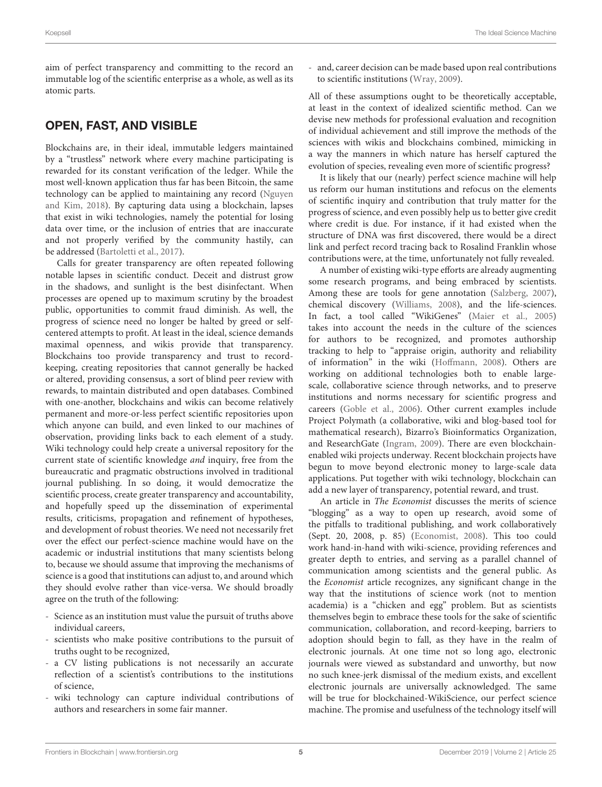aim of perfect transparency and committing to the record an immutable log of the scientific enterprise as a whole, as well as its atomic parts.

## OPEN, FAST, AND VISIBLE

Blockchains are, in their ideal, immutable ledgers maintained by a "trustless" network where every machine participating is rewarded for its constant verification of the ledger. While the most well-known application thus far has been Bitcoin, the same technology can be applied to maintaining any record (Nguyen and Kim, [2018\)](#page-5-11). By capturing data using a blockchain, lapses that exist in wiki technologies, namely the potential for losing data over time, or the inclusion of entries that are inaccurate and not properly verified by the community hastily, can be addressed [\(Bartoletti et al., 2017\)](#page-5-12).

Calls for greater transparency are often repeated following notable lapses in scientific conduct. Deceit and distrust grow in the shadows, and sunlight is the best disinfectant. When processes are opened up to maximum scrutiny by the broadest public, opportunities to commit fraud diminish. As well, the progress of science need no longer be halted by greed or selfcentered attempts to profit. At least in the ideal, science demands maximal openness, and wikis provide that transparency. Blockchains too provide transparency and trust to recordkeeping, creating repositories that cannot generally be hacked or altered, providing consensus, a sort of blind peer review with rewards, to maintain distributed and open databases. Combined with one-another, blockchains and wikis can become relatively permanent and more-or-less perfect scientific repositories upon which anyone can build, and even linked to our machines of observation, providing links back to each element of a study. Wiki technology could help create a universal repository for the current state of scientific knowledge and inquiry, free from the bureaucratic and pragmatic obstructions involved in traditional journal publishing. In so doing, it would democratize the scientific process, create greater transparency and accountability, and hopefully speed up the dissemination of experimental results, criticisms, propagation and refinement of hypotheses, and development of robust theories. We need not necessarily fret over the effect our perfect-science machine would have on the academic or industrial institutions that many scientists belong to, because we should assume that improving the mechanisms of science is a good that institutions can adjust to, and around which they should evolve rather than vice-versa. We should broadly agree on the truth of the following:

- Science as an institution must value the pursuit of truths above individual careers,
- scientists who make positive contributions to the pursuit of truths ought to be recognized,
- a CV listing publications is not necessarily an accurate reflection of a scientist's contributions to the institutions of science,
- wiki technology can capture individual contributions of authors and researchers in some fair manner.

- and, career decision can be made based upon real contributions to scientific institutions [\(Wray, 2009\)](#page-5-13).

All of these assumptions ought to be theoretically acceptable, at least in the context of idealized scientific method. Can we devise new methods for professional evaluation and recognition of individual achievement and still improve the methods of the sciences with wikis and blockchains combined, mimicking in a way the manners in which nature has herself captured the evolution of species, revealing even more of scientific progress?

It is likely that our (nearly) perfect science machine will help us reform our human institutions and refocus on the elements of scientific inquiry and contribution that truly matter for the progress of science, and even possibly help us to better give credit where credit is due. For instance, if it had existed when the structure of DNA was first discovered, there would be a direct link and perfect record tracing back to Rosalind Franklin whose contributions were, at the time, unfortunately not fully revealed.

A number of existing wiki-type efforts are already augmenting some research programs, and being embraced by scientists. Among these are tools for gene annotation [\(Salzberg, 2007\)](#page-5-14), chemical discovery [\(Williams, 2008\)](#page-5-15), and the life-sciences. In fact, a tool called "WikiGenes" [\(Maier et al., 2005\)](#page-5-16) takes into account the needs in the culture of the sciences for authors to be recognized, and promotes authorship tracking to help to "appraise origin, authority and reliability of information" in the wiki [\(Hoffmann, 2008\)](#page-5-17). Others are working on additional technologies both to enable largescale, collaborative science through networks, and to preserve institutions and norms necessary for scientific progress and careers [\(Goble et al., 2006\)](#page-5-18). Other current examples include Project Polymath (a collaborative, wiki and blog-based tool for mathematical research), Bizarro's Bioinformatics Organization, and ResearchGate [\(Ingram, 2009\)](#page-5-19). There are even blockchainenabled wiki projects underway. Recent blockchain projects have begun to move beyond electronic money to large-scale data applications. Put together with wiki technology, blockchain can add a new layer of transparency, potential reward, and trust.

An article in The Economist discusses the merits of science "blogging" as a way to open up research, avoid some of the pitfalls to traditional publishing, and work collaboratively (Sept. 20, 2008, p. 85) [\(Economist, 2008\)](#page-5-20). This too could work hand-in-hand with wiki-science, providing references and greater depth to entries, and serving as a parallel channel of communication among scientists and the general public. As the Economist article recognizes, any significant change in the way that the institutions of science work (not to mention academia) is a "chicken and egg" problem. But as scientists themselves begin to embrace these tools for the sake of scientific communication, collaboration, and record-keeping, barriers to adoption should begin to fall, as they have in the realm of electronic journals. At one time not so long ago, electronic journals were viewed as substandard and unworthy, but now no such knee-jerk dismissal of the medium exists, and excellent electronic journals are universally acknowledged. The same will be true for blockchained-WikiScience, our perfect science machine. The promise and usefulness of the technology itself will